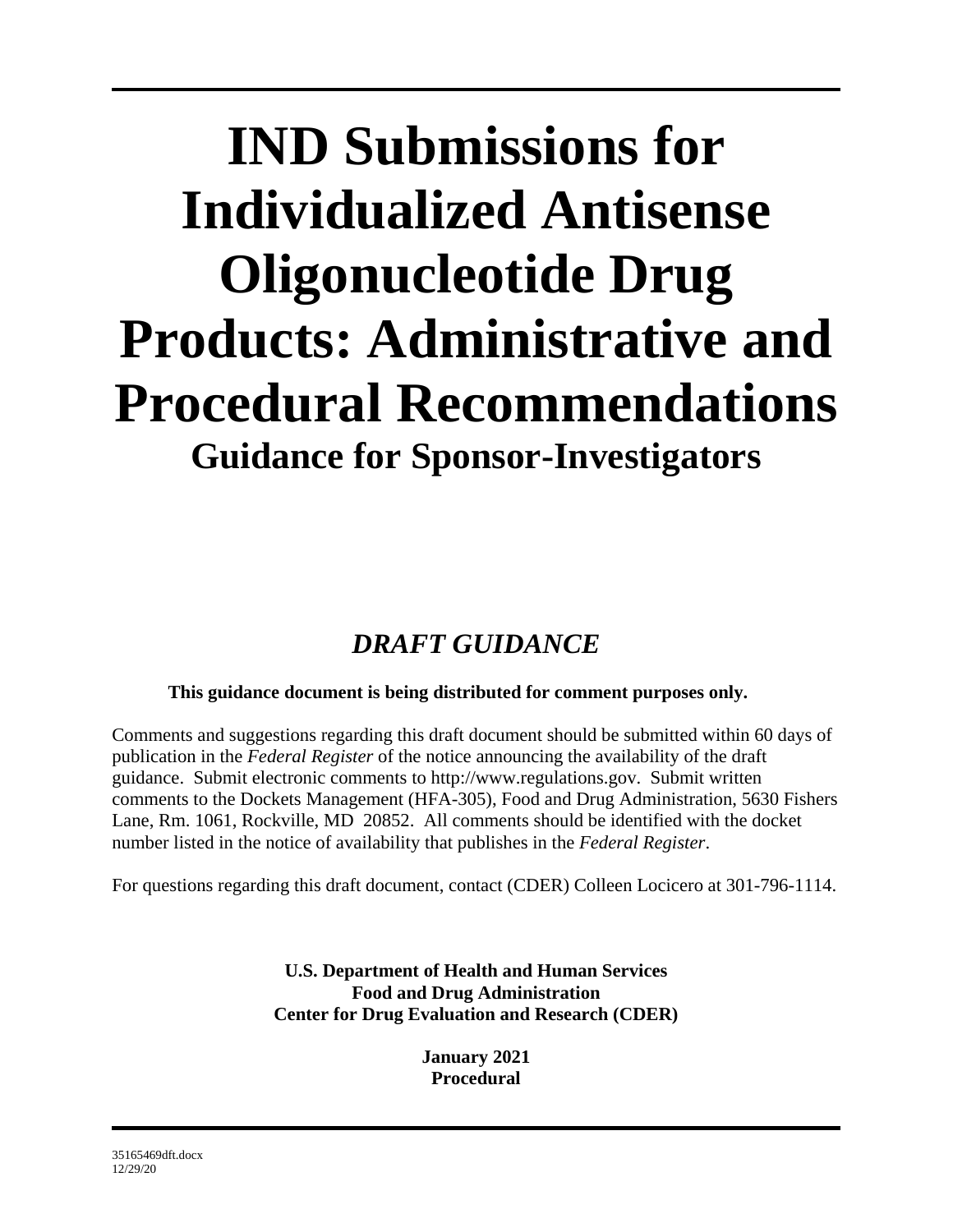# **IND Submissions for Individualized Antisense Oligonucleotide Drug Products: Administrative and Procedural Recommendations Guidance for Sponsor-Investigators**

# *DRAFT GUIDANCE*

# **This guidance document is being distributed for comment purposes only.**

Comments and suggestions regarding this draft document should be submitted within 60 days of publication in the *Federal Register* of the notice announcing the availability of the draft guidance. Submit electronic comments to [http://www.regulations.gov.](http://www.regulations.gov/) Submit written comments to the Dockets Management (HFA-305), Food and Drug Administration, 5630 Fishers Lane, Rm. 1061, Rockville, MD 20852. All comments should be identified with the docket number listed in the notice of availability that publishes in the *Federal Register*.

For questions regarding this draft document, contact (CDER) Colleen Locicero at 301-796-1114.

**U.S. Department of Health and Human Services Food and Drug Administration Center for Drug Evaluation and Research (CDER)**

> **January 2021 Procedural**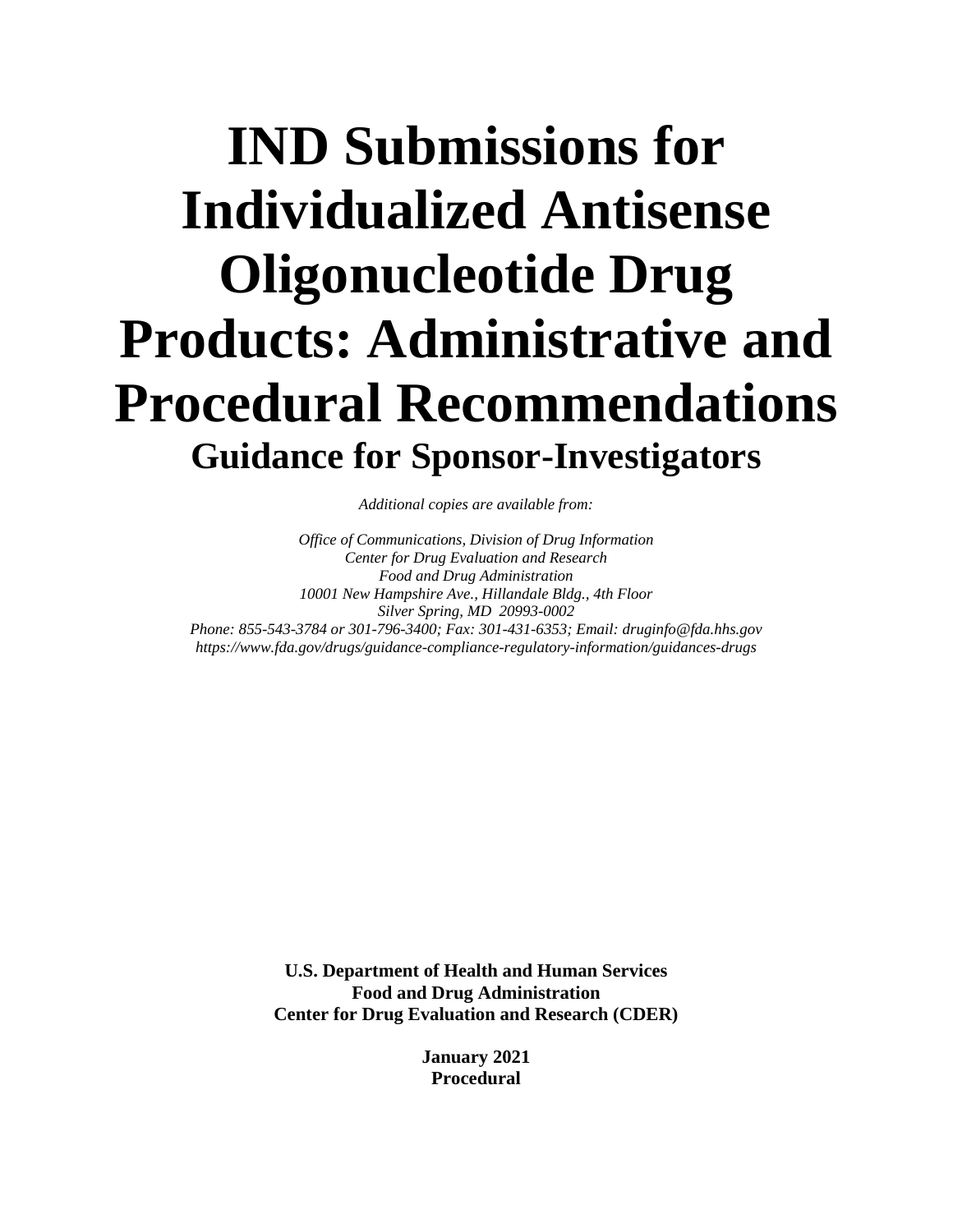# **IND Submissions for Individualized Antisense Oligonucleotide Drug Products: Administrative and Procedural Recommendations Guidance for Sponsor-Investigators**

*Additional copies are available from:*

*Office of Communications, Division of Drug Information Center for Drug Evaluation and Research Food and Drug Administration 10001 New Hampshire Ave., Hillandale Bldg., 4th Floor Silver Spring, MD 20993-0002 Phone: 855-543-3784 or 301-796-3400; Fax: 301-431-6353; Email: druginfo@fda.hhs.gov <https://www.fda.gov/drugs/guidance-compliance-regulatory-information/guidances-drugs>*

> **U.S. Department of Health and Human Services Food and Drug Administration Center for Drug Evaluation and Research (CDER)**

> > **January 2021 Procedural**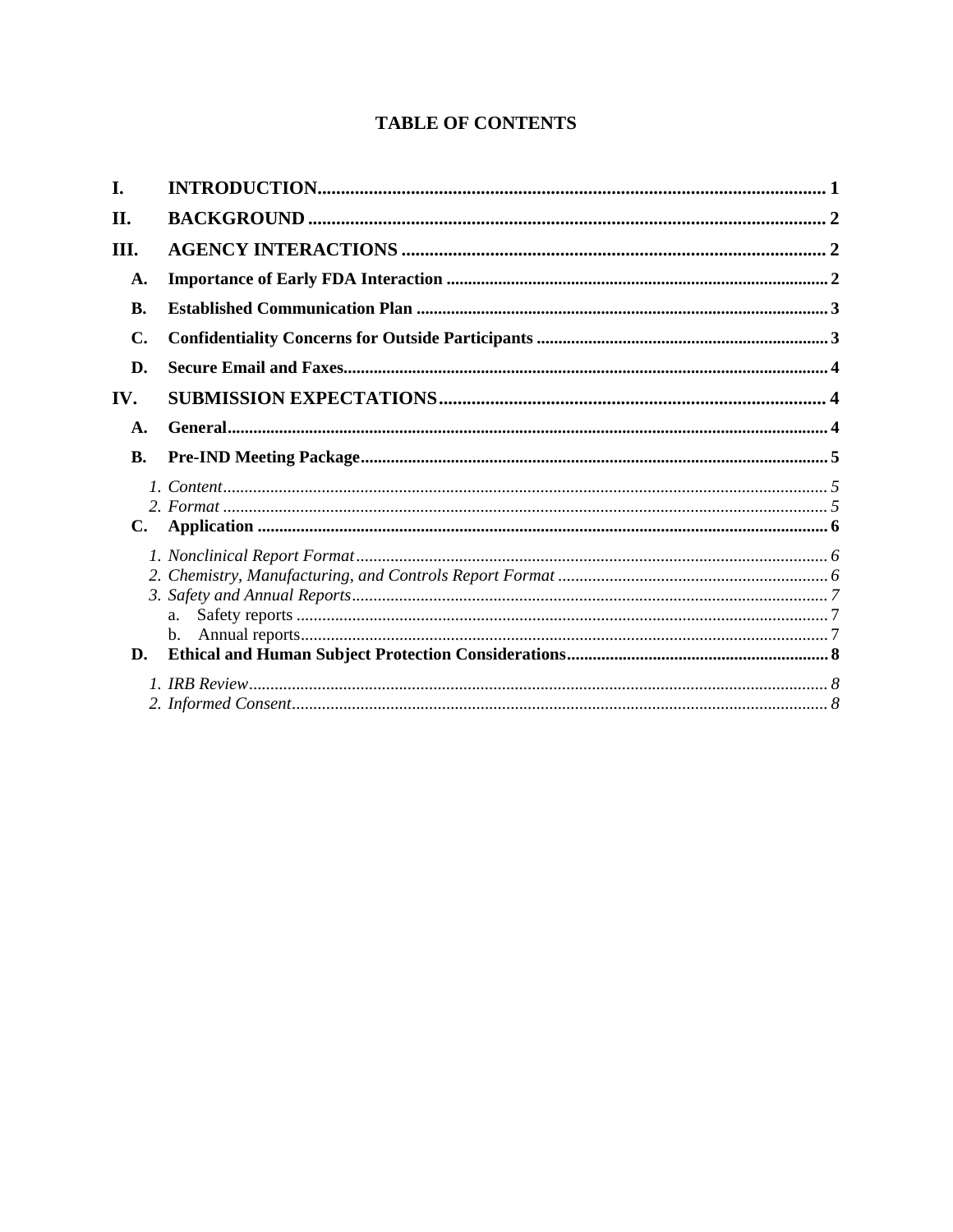# **TABLE OF CONTENTS**

| I.  |                |  |
|-----|----------------|--|
| II. |                |  |
| Ш.  |                |  |
| A.  |                |  |
| В.  |                |  |
| C.  |                |  |
| D.  |                |  |
| IV. |                |  |
| A.  |                |  |
| B.  |                |  |
| C.  |                |  |
| D.  | $\mathbf{b}$ . |  |
|     |                |  |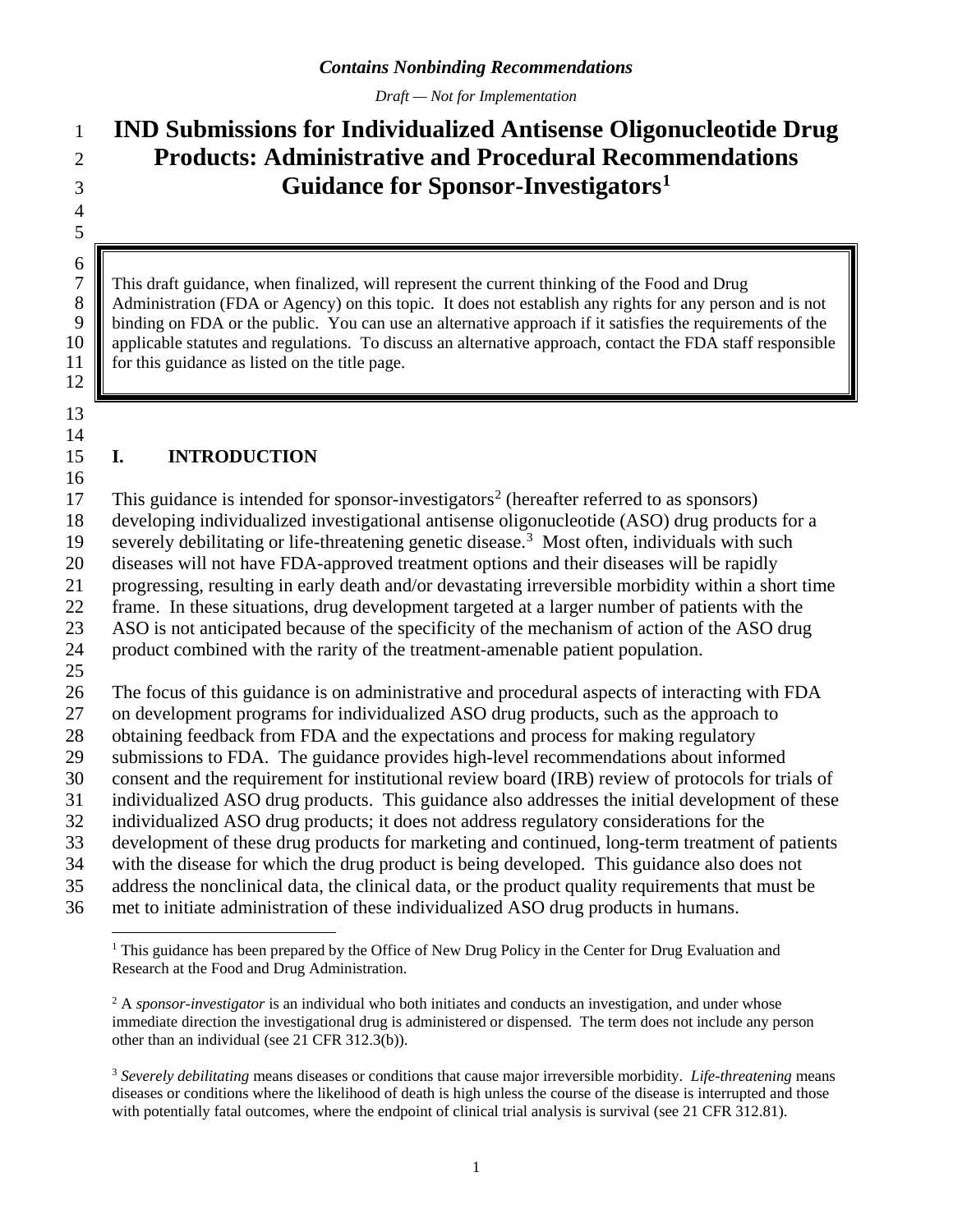*Draft — Not for Implementation*

# **IND Submissions for Individualized Antisense Oligonucleotide Drug Products: Administrative and Procedural Recommendations Guidance for Sponsor-Investigators[1](#page-3-0)**

 This draft guidance, when finalized, will represent the current thinking of the Food and Drug 8 Administration (FDA or Agency) on this topic. It does not establish any rights for any person and is not binding on FDA or the public. You can use an alternative approach if it satisfies the requirements of the binding on FDA or the public. You can use an alternative approach if it satisfies the requirements of the 10 applicable statutes and regulations. To discuss an alternative approach, contact the FDA staff responsible 11 for this guidance as listed on the title page. for this guidance as listed on the title page.

 

 $\frac{6}{7}$ 

### **I. INTRODUCTION**

17 This guidance is intended for sponsor-investigators<sup>[2](#page-3-1)</sup> (hereafter referred to as sponsors)

developing individualized investigational antisense oligonucleotide (ASO) drug products for a

19 severely debilitating or life-threatening genetic disease.<sup>[3](#page-3-2)</sup> Most often, individuals with such

diseases will not have FDA-approved treatment options and their diseases will be rapidly

progressing, resulting in early death and/or devastating irreversible morbidity within a short time

frame. In these situations, drug development targeted at a larger number of patients with the

 ASO is not anticipated because of the specificity of the mechanism of action of the ASO drug product combined with the rarity of the treatment-amenable patient population.

The focus of this guidance is on administrative and procedural aspects of interacting with FDA

on development programs for individualized ASO drug products, such as the approach to

obtaining feedback from FDA and the expectations and process for making regulatory

 submissions to FDA. The guidance provides high-level recommendations about informed consent and the requirement for institutional review board (IRB) review of protocols for trials of

individualized ASO drug products. This guidance also addresses the initial development of these

individualized ASO drug products; it does not address regulatory considerations for the

development of these drug products for marketing and continued, long-term treatment of patients

with the disease for which the drug product is being developed. This guidance also does not

address the nonclinical data, the clinical data, or the product quality requirements that must be

<span id="page-3-0"></span>met to initiate administration of these individualized ASO drug products in humans.

<sup>&</sup>lt;sup>1</sup> This guidance has been prepared by the Office of New Drug Policy in the Center for Drug Evaluation and Research at the Food and Drug Administration.

<span id="page-3-1"></span><sup>&</sup>lt;sup>2</sup> A *sponsor-investigator* is an individual who both initiates and conducts an investigation, and under whose immediate direction the investigational drug is administered or dispensed. The term does not include any person other than an individual (see 21 CFR 312.3(b)).

<span id="page-3-2"></span> *Severely debilitating* means diseases or conditions that cause major irreversible morbidity. *Life-threatening* means diseases or conditions where the likelihood of death is high unless the course of the disease is interrupted and those with potentially fatal outcomes, where the endpoint of clinical trial analysis is survival (see 21 CFR 312.81).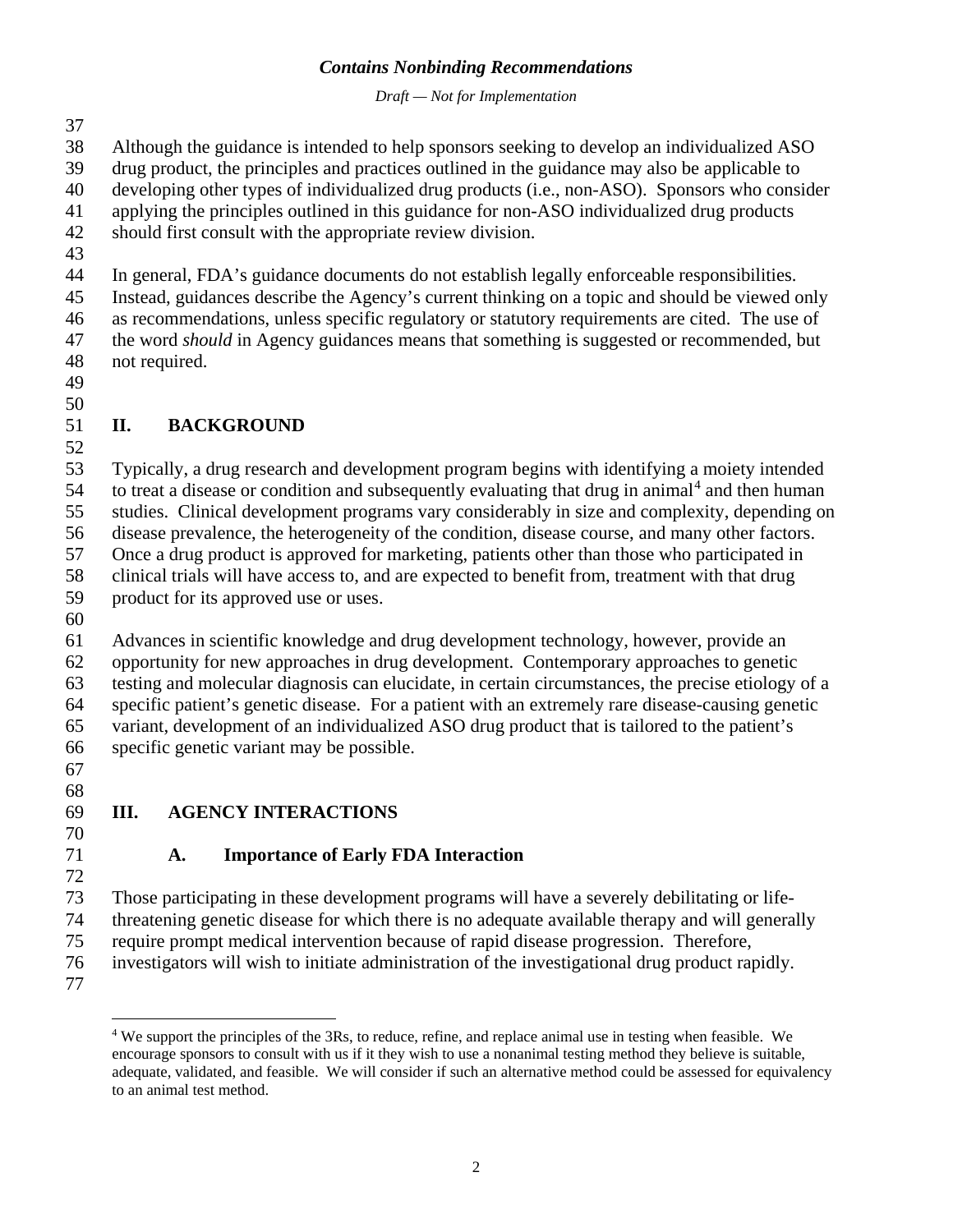*Draft — Not for Implementation*

Although the guidance is intended to help sponsors seeking to develop an individualized ASO

drug product, the principles and practices outlined in the guidance may also be applicable to

developing other types of individualized drug products (i.e., non-ASO). Sponsors who consider

- applying the principles outlined in this guidance for non-ASO individualized drug products
- should first consult with the appropriate review division.
- 

In general, FDA's guidance documents do not establish legally enforceable responsibilities.

 Instead, guidances describe the Agency's current thinking on a topic and should be viewed only as recommendations, unless specific regulatory or statutory requirements are cited. The use of the word *should* in Agency guidances means that something is suggested or recommended, but

- not required.
- 

# 

# **II. BACKGROUND**

 Typically, a drug research and development program begins with identifying a moiety intended  $54$  to treat a disease or condition and subsequently evaluating that drug in animal<sup>4</sup> and then human studies. Clinical development programs vary considerably in size and complexity, depending on disease prevalence, the heterogeneity of the condition, disease course, and many other factors. Once a drug product is approved for marketing, patients other than those who participated in clinical trials will have access to, and are expected to benefit from, treatment with that drug product for its approved use or uses.

 Advances in scientific knowledge and drug development technology, however, provide an opportunity for new approaches in drug development. Contemporary approaches to genetic testing and molecular diagnosis can elucidate, in certain circumstances, the precise etiology of a specific patient's genetic disease. For a patient with an extremely rare disease-causing genetic variant, development of an individualized ASO drug product that is tailored to the patient's specific genetic variant may be possible.

 

# **III. AGENCY INTERACTIONS**

# 

# **A. Importance of Early FDA Interaction**

Those participating in these development programs will have a severely debilitating or life-

threatening genetic disease for which there is no adequate available therapy and will generally

 require prompt medical intervention because of rapid disease progression. Therefore, investigators will wish to initiate administration of the investigational drug product rapidly.

<span id="page-4-0"></span>

 We support the principles of the 3Rs, to reduce, refine, and replace animal use in testing when feasible. We encourage sponsors to consult with us if it they wish to use a nonanimal testing method they believe is suitable, adequate, validated, and feasible. We will consider if such an alternative method could be assessed for equivalency to an animal test method.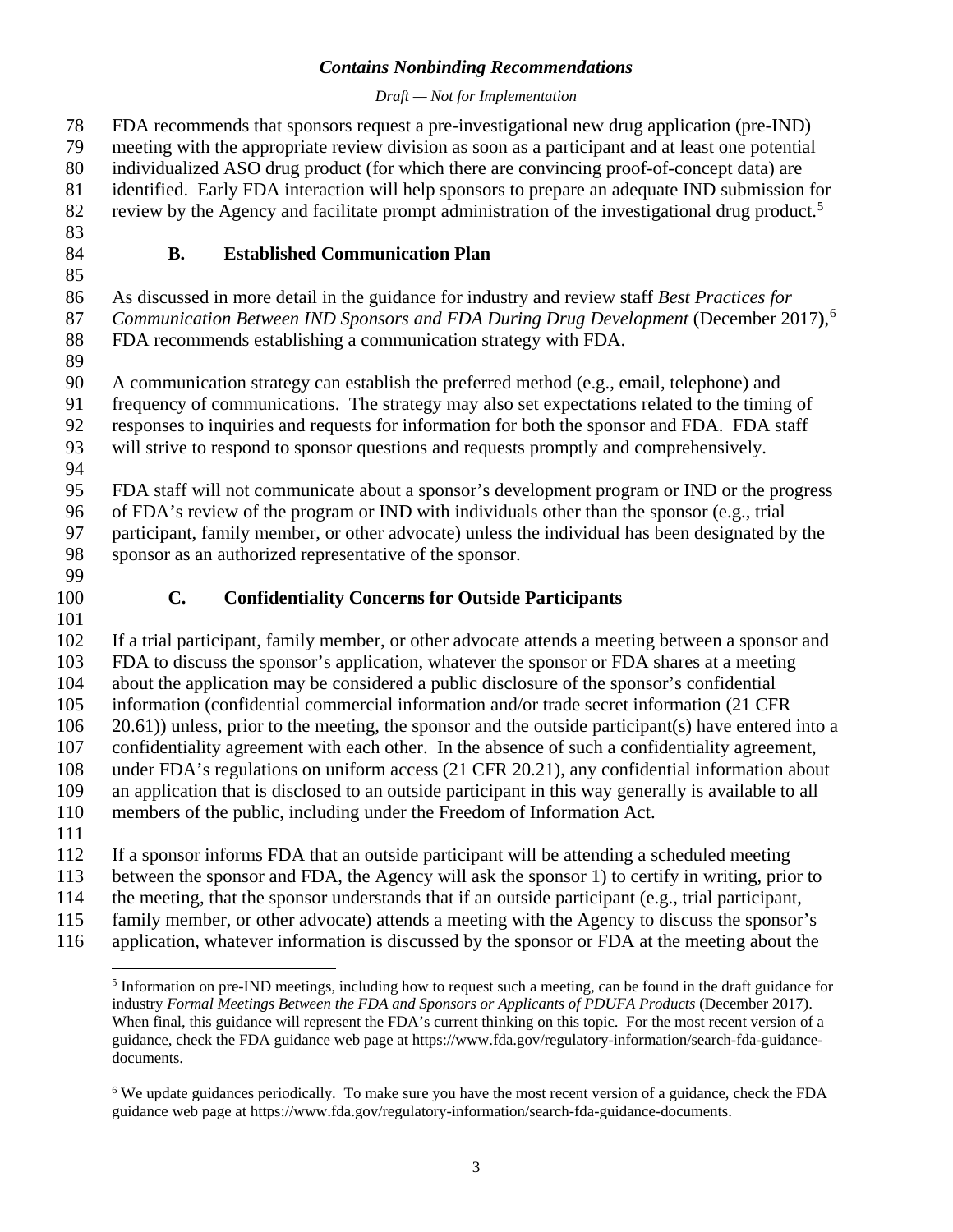### *Draft — Not for Implementation*

 FDA recommends that sponsors request a pre-investigational new drug application (pre-IND) meeting with the appropriate review division as soon as a participant and at least one potential individualized ASO drug product (for which there are convincing proof-of-concept data) are identified. Early FDA interaction will help sponsors to prepare an adequate IND submission for 82 review by the Agency and facilitate prompt administration of the investigational drug product.<sup>[5](#page-5-0)</sup> **B. Established Communication Plan**

As discussed in more detail in the guidance for industry and review staff *Best Practices for* 

*Communication Between IND Sponsors and FDA During Drug Development* (December 2017**)**, [6](#page-5-1)

FDA recommends establishing a communication strategy with FDA.

A communication strategy can establish the preferred method (e.g., email, telephone) and

frequency of communications. The strategy may also set expectations related to the timing of

responses to inquiries and requests for information for both the sponsor and FDA. FDA staff

will strive to respond to sponsor questions and requests promptly and comprehensively.

FDA staff will not communicate about a sponsor's development program or IND or the progress

of FDA's review of the program or IND with individuals other than the sponsor (e.g., trial

participant, family member, or other advocate) unless the individual has been designated by the

sponsor as an authorized representative of the sponsor.

- 
- 

# **C. Confidentiality Concerns for Outside Participants**

 If a trial participant, family member, or other advocate attends a meeting between a sponsor and FDA to discuss the sponsor's application, whatever the sponsor or FDA shares at a meeting about the application may be considered a public disclosure of the sponsor's confidential information (confidential commercial information and/or trade secret information (21 CFR 20.61)) unless, prior to the meeting, the sponsor and the outside participant(s) have entered into a confidentiality agreement with each other. In the absence of such a confidentiality agreement, under FDA's regulations on uniform access (21 CFR 20.21), any confidential information about an application that is disclosed to an outside participant in this way generally is available to all members of the public, including under the Freedom of Information Act. If a sponsor informs FDA that an outside participant will be attending a scheduled meeting

between the sponsor and FDA, the Agency will ask the sponsor 1) to certify in writing, prior to

the meeting, that the sponsor understands that if an outside participant (e.g., trial participant,

family member, or other advocate) attends a meeting with the Agency to discuss the sponsor's

application, whatever information is discussed by the sponsor or FDA at the meeting about the

<span id="page-5-0"></span>

 Information on pre-IND meetings, including how to request such a meeting, can be found in the draft guidance for industry *Formal Meetings Between the FDA and Sponsors or Applicants of PDUFA Products* (December 2017). When final, this guidance will represent the FDA's current thinking on this topic. For the most recent version of a guidance, check the FDA guidance web page at [https://www.fda.gov/regulatory-information/search-fda-guidance](https://www.fda.gov/regulatory-information/search-fda-guidance-documents)[documents.](https://www.fda.gov/regulatory-information/search-fda-guidance-documents)

<span id="page-5-1"></span> We update guidances periodically. To make sure you have the most recent version of a guidance, check the FDA guidance web page at [https://www.fda.gov/regulatory-information/search-fda-guidance-documents.](https://www.fda.gov/regulatory-information/search-fda-guidance-documents)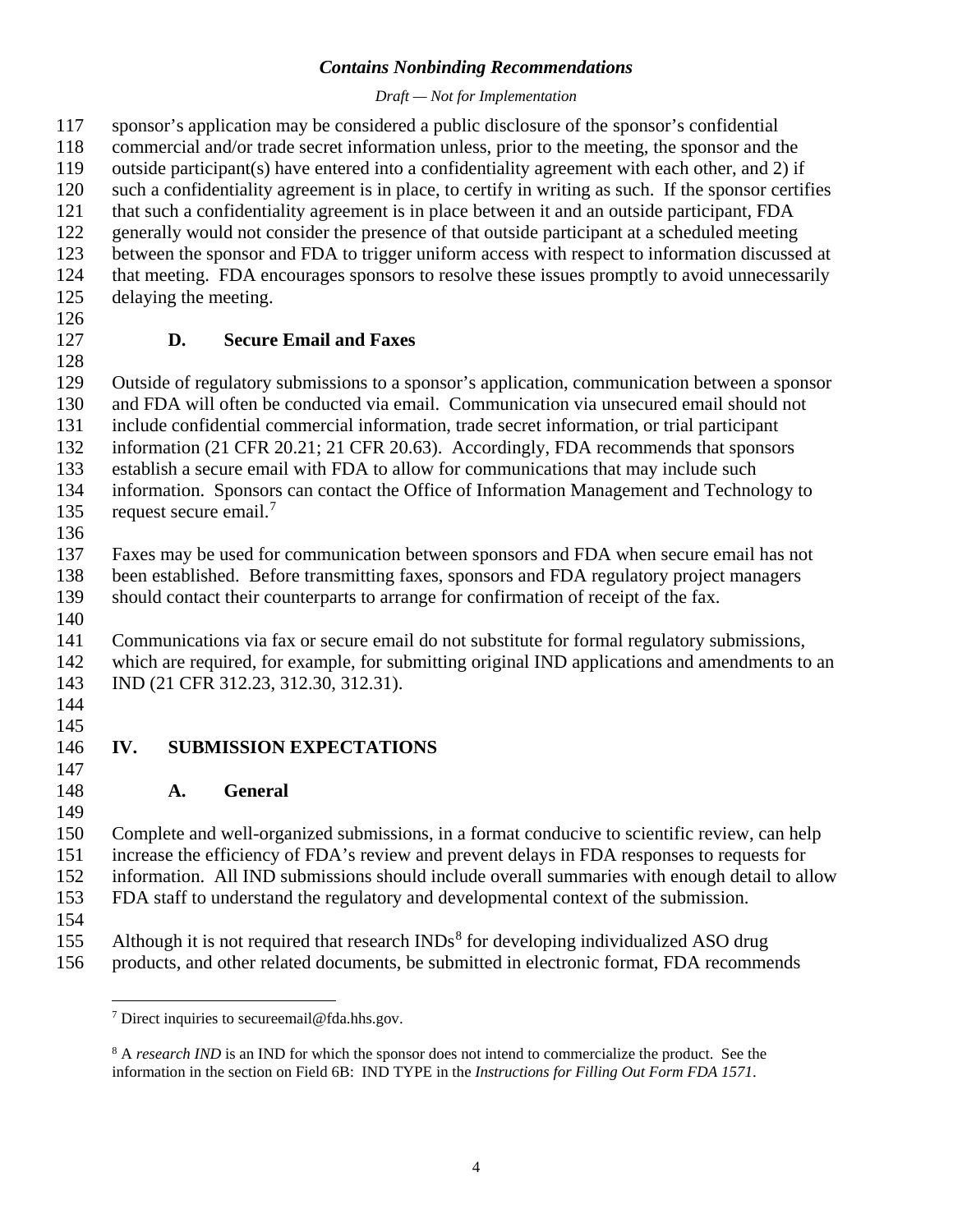### *Draft — Not for Implementation*

 sponsor's application may be considered a public disclosure of the sponsor's confidential commercial and/or trade secret information unless, prior to the meeting, the sponsor and the outside participant(s) have entered into a confidentiality agreement with each other, and 2) if such a confidentiality agreement is in place, to certify in writing as such. If the sponsor certifies that such a confidentiality agreement is in place between it and an outside participant, FDA generally would not consider the presence of that outside participant at a scheduled meeting between the sponsor and FDA to trigger uniform access with respect to information discussed at that meeting. FDA encourages sponsors to resolve these issues promptly to avoid unnecessarily delaying the meeting.

# **D. Secure Email and Faxes**

 Outside of regulatory submissions to a sponsor's application, communication between a sponsor and FDA will often be conducted via email. Communication via unsecured email should not

include confidential commercial information, trade secret information, or trial participant

information (21 CFR 20.21; 21 CFR 20.63). Accordingly, FDA recommends that sponsors

establish a secure email with FDA to allow for communications that may include such

information. Sponsors can contact the Office of Information Management and Technology to

135 request secure email.<sup>[7](#page-6-0)</sup>

 Faxes may be used for communication between sponsors and FDA when secure email has not been established. Before transmitting faxes, sponsors and FDA regulatory project managers

should contact their counterparts to arrange for confirmation of receipt of the fax.

 Communications via fax or secure email do not substitute for formal regulatory submissions, which are required, for example, for submitting original IND applications and amendments to an IND (21 CFR 312.23, 312.30, 312.31).

 

### **IV. SUBMISSION EXPECTATIONS**

**A. General**

 Complete and well-organized submissions, in a format conducive to scientific review, can help increase the efficiency of FDA's review and prevent delays in FDA responses to requests for information. All IND submissions should include overall summaries with enough detail to allow FDA staff to understand the regulatory and developmental context of the submission.

155 Although it is not required that research  $\text{INDs}^8$  $\text{INDs}^8$  for developing individualized ASO drug

<span id="page-6-1"></span><span id="page-6-0"></span>products, and other related documents, be submitted in electronic format, FDA recommends

<sup>&</sup>lt;sup>7</sup> Direct inquiries to secure email@fda.hhs.gov.

<sup>&</sup>lt;sup>8</sup> A *research IND* is an IND for which the sponsor does not intend to commercialize the product. See the information in the section on Field 6B: IND TYPE in the *Instructions for Filling Out Form FDA 1571*.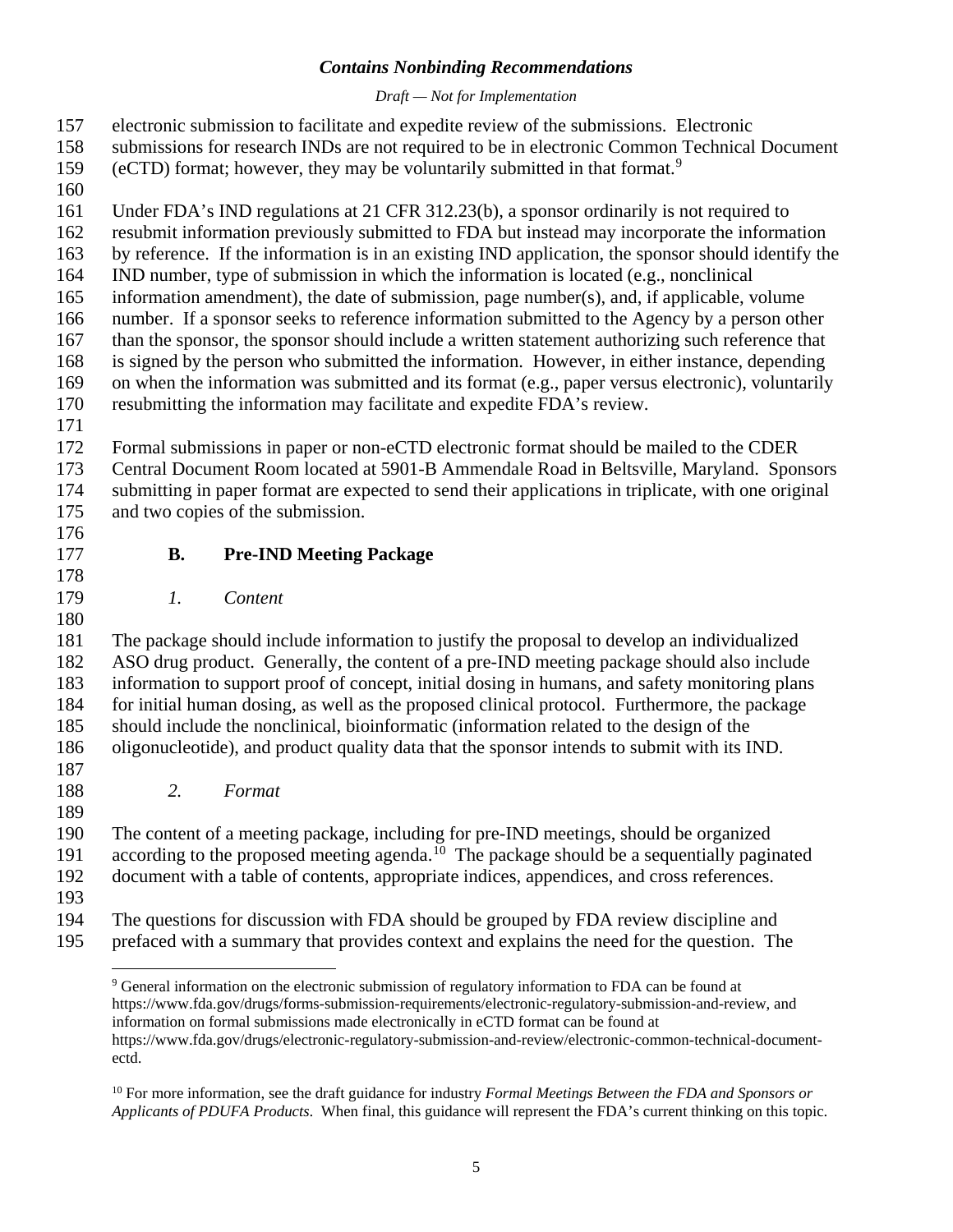### *Draft — Not for Implementation*

- electronic submission to facilitate and expedite review of the submissions. Electronic
- submissions for research INDs are not required to be in electronic Common Technical Document
- [9](#page-7-0) (eCTD) format; however, they may be voluntarily submitted in that format.<sup>9</sup>
- 
- Under FDA's IND regulations at 21 CFR 312.23(b), a sponsor ordinarily is not required to
- resubmit information previously submitted to FDA but instead may incorporate the information
- by reference. If the information is in an existing IND application, the sponsor should identify the
- IND number, type of submission in which the information is located (e.g., nonclinical
- information amendment), the date of submission, page number(s), and, if applicable, volume
- number. If a sponsor seeks to reference information submitted to the Agency by a person other
- than the sponsor, the sponsor should include a written statement authorizing such reference that is signed by the person who submitted the information. However, in either instance, depending
- on when the information was submitted and its format (e.g., paper versus electronic), voluntarily
- resubmitting the information may facilitate and expedite FDA's review.
- 

Formal submissions in paper or non-eCTD electronic format should be mailed to the CDER

- Central Document Room located at 5901-B Ammendale Road in Beltsville, Maryland. Sponsors
- submitting in paper format are expected to send their applications in triplicate, with one original
- and two copies of the submission.
- **B. Pre-IND Meeting Package**
- 

*1. Content*

 The package should include information to justify the proposal to develop an individualized ASO drug product. Generally, the content of a pre-IND meeting package should also include information to support proof of concept, initial dosing in humans, and safety monitoring plans for initial human dosing, as well as the proposed clinical protocol. Furthermore, the package should include the nonclinical, bioinformatic (information related to the design of the oligonucleotide), and product quality data that the sponsor intends to submit with its IND. 

- *2. Format*
- 

 The content of a meeting package, including for pre-IND meetings, should be organized according to the proposed meeting agenda.<sup>10</sup> The package should be a sequentially paginated

document with a table of contents, appropriate indices, appendices, and cross references.

- 
- <span id="page-7-0"></span> The questions for discussion with FDA should be grouped by FDA review discipline and prefaced with a summary that provides context and explains the need for the question. The

 General information on the electronic submission of regulatory information to FDA can be found at [https://www.fda.gov/drugs/forms-submission-requirements/electronic-regulatory-submission-and-review,](https://www.fda.gov/drugs/forms-submission-requirements/electronic-regulatory-submission-and-review) and information on formal submissions made electronically in eCTD format can be found at [https://www.fda.gov/drugs/electronic-regulatory-submission-and-review/electronic-common-technical-document](https://www.fda.gov/drugs/electronic-regulatory-submission-and-review/electronic-common-technical-document-ectd)[ectd.](https://www.fda.gov/drugs/electronic-regulatory-submission-and-review/electronic-common-technical-document-ectd)

<span id="page-7-1"></span> For more information, see the draft guidance for industry *Formal Meetings Between the FDA and Sponsors or Applicants of PDUFA Products*. When final, this guidance will represent the FDA's current thinking on this topic.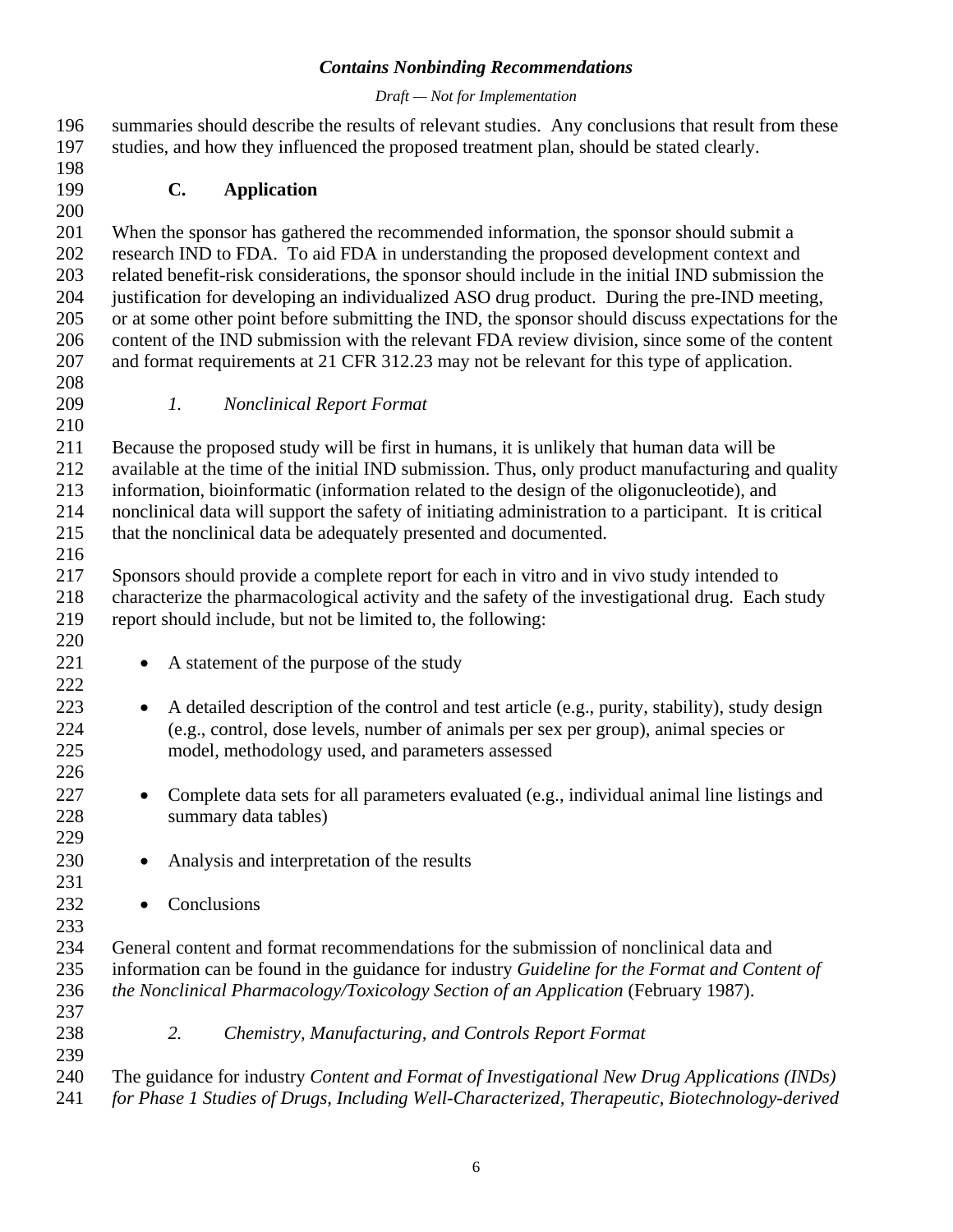### *Draft — Not for Implementation*

| 198<br>C.<br><b>Application</b><br>199<br>200<br>201<br>When the sponsor has gathered the recommended information, the sponsor should submit a<br>research IND to FDA. To aid FDA in understanding the proposed development context and<br>202<br>203<br>related benefit-risk considerations, the sponsor should include in the initial IND submission the<br>204<br>justification for developing an individualized ASO drug product. During the pre-IND meeting,<br>205<br>or at some other point before submitting the IND, the sponsor should discuss expectations for the<br>content of the IND submission with the relevant FDA review division, since some of the content<br>206<br>207<br>and format requirements at 21 CFR 312.23 may not be relevant for this type of application.<br>208<br>209<br>$\mathfrak{1}.$<br><b>Nonclinical Report Format</b><br>210<br>211<br>Because the proposed study will be first in humans, it is unlikely that human data will be<br>212<br>available at the time of the initial IND submission. Thus, only product manufacturing and quality<br>213<br>information, bioinformatic (information related to the design of the oligonucleotide), and<br>214<br>nonclinical data will support the safety of initiating administration to a participant. It is critical<br>215<br>that the nonclinical data be adequately presented and documented.<br>216<br>217<br>Sponsors should provide a complete report for each in vitro and in vivo study intended to<br>218<br>characterize the pharmacological activity and the safety of the investigational drug. Each study<br>report should include, but not be limited to, the following:<br>219<br>220<br>221<br>A statement of the purpose of the study<br>$\bullet$<br>222<br>223<br>A detailed description of the control and test article (e.g., purity, stability), study design<br>$\bullet$<br>224<br>(e.g., control, dose levels, number of animals per sex per group), animal species or<br>225<br>model, methodology used, and parameters assessed<br>226<br>227<br>Complete data sets for all parameters evaluated (e.g., individual animal line listings and<br>$\bullet$<br>228<br>summary data tables)<br>229<br>230<br>Analysis and interpretation of the results<br>231<br>232<br>Conclusions<br>233<br>234<br>General content and format recommendations for the submission of nonclinical data and<br>235<br>information can be found in the guidance for industry Guideline for the Format and Content of<br>236<br>the Nonclinical Pharmacology/Toxicology Section of an Application (February 1987).<br>237<br>238<br>2.<br>Chemistry, Manufacturing, and Controls Report Format<br>239<br>240<br>The guidance for industry Content and Format of Investigational New Drug Applications (INDs)<br>241<br>for Phase 1 Studies of Drugs, Including Well-Characterized, Therapeutic, Biotechnology-derived | 196<br>197 | summaries should describe the results of relevant studies. Any conclusions that result from these<br>studies, and how they influenced the proposed treatment plan, should be stated clearly. |
|----------------------------------------------------------------------------------------------------------------------------------------------------------------------------------------------------------------------------------------------------------------------------------------------------------------------------------------------------------------------------------------------------------------------------------------------------------------------------------------------------------------------------------------------------------------------------------------------------------------------------------------------------------------------------------------------------------------------------------------------------------------------------------------------------------------------------------------------------------------------------------------------------------------------------------------------------------------------------------------------------------------------------------------------------------------------------------------------------------------------------------------------------------------------------------------------------------------------------------------------------------------------------------------------------------------------------------------------------------------------------------------------------------------------------------------------------------------------------------------------------------------------------------------------------------------------------------------------------------------------------------------------------------------------------------------------------------------------------------------------------------------------------------------------------------------------------------------------------------------------------------------------------------------------------------------------------------------------------------------------------------------------------------------------------------------------------------------------------------------------------------------------------------------------------------------------------------------------------------------------------------------------------------------------------------------------------------------------------------------------------------------------------------------------------------------------------------------------------------------------------------------------------------------------------------------------------------------------------------------------------------------------------------------------------------------------------------------------------------------------------------------------------------------------------------------------------------------------------------------------------------------------------------------------|------------|----------------------------------------------------------------------------------------------------------------------------------------------------------------------------------------------|
|                                                                                                                                                                                                                                                                                                                                                                                                                                                                                                                                                                                                                                                                                                                                                                                                                                                                                                                                                                                                                                                                                                                                                                                                                                                                                                                                                                                                                                                                                                                                                                                                                                                                                                                                                                                                                                                                                                                                                                                                                                                                                                                                                                                                                                                                                                                                                                                                                                                                                                                                                                                                                                                                                                                                                                                                                                                                                                                      |            |                                                                                                                                                                                              |
|                                                                                                                                                                                                                                                                                                                                                                                                                                                                                                                                                                                                                                                                                                                                                                                                                                                                                                                                                                                                                                                                                                                                                                                                                                                                                                                                                                                                                                                                                                                                                                                                                                                                                                                                                                                                                                                                                                                                                                                                                                                                                                                                                                                                                                                                                                                                                                                                                                                                                                                                                                                                                                                                                                                                                                                                                                                                                                                      |            |                                                                                                                                                                                              |
|                                                                                                                                                                                                                                                                                                                                                                                                                                                                                                                                                                                                                                                                                                                                                                                                                                                                                                                                                                                                                                                                                                                                                                                                                                                                                                                                                                                                                                                                                                                                                                                                                                                                                                                                                                                                                                                                                                                                                                                                                                                                                                                                                                                                                                                                                                                                                                                                                                                                                                                                                                                                                                                                                                                                                                                                                                                                                                                      |            |                                                                                                                                                                                              |
|                                                                                                                                                                                                                                                                                                                                                                                                                                                                                                                                                                                                                                                                                                                                                                                                                                                                                                                                                                                                                                                                                                                                                                                                                                                                                                                                                                                                                                                                                                                                                                                                                                                                                                                                                                                                                                                                                                                                                                                                                                                                                                                                                                                                                                                                                                                                                                                                                                                                                                                                                                                                                                                                                                                                                                                                                                                                                                                      |            |                                                                                                                                                                                              |
|                                                                                                                                                                                                                                                                                                                                                                                                                                                                                                                                                                                                                                                                                                                                                                                                                                                                                                                                                                                                                                                                                                                                                                                                                                                                                                                                                                                                                                                                                                                                                                                                                                                                                                                                                                                                                                                                                                                                                                                                                                                                                                                                                                                                                                                                                                                                                                                                                                                                                                                                                                                                                                                                                                                                                                                                                                                                                                                      |            |                                                                                                                                                                                              |
|                                                                                                                                                                                                                                                                                                                                                                                                                                                                                                                                                                                                                                                                                                                                                                                                                                                                                                                                                                                                                                                                                                                                                                                                                                                                                                                                                                                                                                                                                                                                                                                                                                                                                                                                                                                                                                                                                                                                                                                                                                                                                                                                                                                                                                                                                                                                                                                                                                                                                                                                                                                                                                                                                                                                                                                                                                                                                                                      |            |                                                                                                                                                                                              |
|                                                                                                                                                                                                                                                                                                                                                                                                                                                                                                                                                                                                                                                                                                                                                                                                                                                                                                                                                                                                                                                                                                                                                                                                                                                                                                                                                                                                                                                                                                                                                                                                                                                                                                                                                                                                                                                                                                                                                                                                                                                                                                                                                                                                                                                                                                                                                                                                                                                                                                                                                                                                                                                                                                                                                                                                                                                                                                                      |            |                                                                                                                                                                                              |
|                                                                                                                                                                                                                                                                                                                                                                                                                                                                                                                                                                                                                                                                                                                                                                                                                                                                                                                                                                                                                                                                                                                                                                                                                                                                                                                                                                                                                                                                                                                                                                                                                                                                                                                                                                                                                                                                                                                                                                                                                                                                                                                                                                                                                                                                                                                                                                                                                                                                                                                                                                                                                                                                                                                                                                                                                                                                                                                      |            |                                                                                                                                                                                              |
|                                                                                                                                                                                                                                                                                                                                                                                                                                                                                                                                                                                                                                                                                                                                                                                                                                                                                                                                                                                                                                                                                                                                                                                                                                                                                                                                                                                                                                                                                                                                                                                                                                                                                                                                                                                                                                                                                                                                                                                                                                                                                                                                                                                                                                                                                                                                                                                                                                                                                                                                                                                                                                                                                                                                                                                                                                                                                                                      |            |                                                                                                                                                                                              |
|                                                                                                                                                                                                                                                                                                                                                                                                                                                                                                                                                                                                                                                                                                                                                                                                                                                                                                                                                                                                                                                                                                                                                                                                                                                                                                                                                                                                                                                                                                                                                                                                                                                                                                                                                                                                                                                                                                                                                                                                                                                                                                                                                                                                                                                                                                                                                                                                                                                                                                                                                                                                                                                                                                                                                                                                                                                                                                                      |            |                                                                                                                                                                                              |
|                                                                                                                                                                                                                                                                                                                                                                                                                                                                                                                                                                                                                                                                                                                                                                                                                                                                                                                                                                                                                                                                                                                                                                                                                                                                                                                                                                                                                                                                                                                                                                                                                                                                                                                                                                                                                                                                                                                                                                                                                                                                                                                                                                                                                                                                                                                                                                                                                                                                                                                                                                                                                                                                                                                                                                                                                                                                                                                      |            |                                                                                                                                                                                              |
|                                                                                                                                                                                                                                                                                                                                                                                                                                                                                                                                                                                                                                                                                                                                                                                                                                                                                                                                                                                                                                                                                                                                                                                                                                                                                                                                                                                                                                                                                                                                                                                                                                                                                                                                                                                                                                                                                                                                                                                                                                                                                                                                                                                                                                                                                                                                                                                                                                                                                                                                                                                                                                                                                                                                                                                                                                                                                                                      |            |                                                                                                                                                                                              |
|                                                                                                                                                                                                                                                                                                                                                                                                                                                                                                                                                                                                                                                                                                                                                                                                                                                                                                                                                                                                                                                                                                                                                                                                                                                                                                                                                                                                                                                                                                                                                                                                                                                                                                                                                                                                                                                                                                                                                                                                                                                                                                                                                                                                                                                                                                                                                                                                                                                                                                                                                                                                                                                                                                                                                                                                                                                                                                                      |            |                                                                                                                                                                                              |
|                                                                                                                                                                                                                                                                                                                                                                                                                                                                                                                                                                                                                                                                                                                                                                                                                                                                                                                                                                                                                                                                                                                                                                                                                                                                                                                                                                                                                                                                                                                                                                                                                                                                                                                                                                                                                                                                                                                                                                                                                                                                                                                                                                                                                                                                                                                                                                                                                                                                                                                                                                                                                                                                                                                                                                                                                                                                                                                      |            |                                                                                                                                                                                              |
|                                                                                                                                                                                                                                                                                                                                                                                                                                                                                                                                                                                                                                                                                                                                                                                                                                                                                                                                                                                                                                                                                                                                                                                                                                                                                                                                                                                                                                                                                                                                                                                                                                                                                                                                                                                                                                                                                                                                                                                                                                                                                                                                                                                                                                                                                                                                                                                                                                                                                                                                                                                                                                                                                                                                                                                                                                                                                                                      |            |                                                                                                                                                                                              |
|                                                                                                                                                                                                                                                                                                                                                                                                                                                                                                                                                                                                                                                                                                                                                                                                                                                                                                                                                                                                                                                                                                                                                                                                                                                                                                                                                                                                                                                                                                                                                                                                                                                                                                                                                                                                                                                                                                                                                                                                                                                                                                                                                                                                                                                                                                                                                                                                                                                                                                                                                                                                                                                                                                                                                                                                                                                                                                                      |            |                                                                                                                                                                                              |
|                                                                                                                                                                                                                                                                                                                                                                                                                                                                                                                                                                                                                                                                                                                                                                                                                                                                                                                                                                                                                                                                                                                                                                                                                                                                                                                                                                                                                                                                                                                                                                                                                                                                                                                                                                                                                                                                                                                                                                                                                                                                                                                                                                                                                                                                                                                                                                                                                                                                                                                                                                                                                                                                                                                                                                                                                                                                                                                      |            |                                                                                                                                                                                              |
|                                                                                                                                                                                                                                                                                                                                                                                                                                                                                                                                                                                                                                                                                                                                                                                                                                                                                                                                                                                                                                                                                                                                                                                                                                                                                                                                                                                                                                                                                                                                                                                                                                                                                                                                                                                                                                                                                                                                                                                                                                                                                                                                                                                                                                                                                                                                                                                                                                                                                                                                                                                                                                                                                                                                                                                                                                                                                                                      |            |                                                                                                                                                                                              |
|                                                                                                                                                                                                                                                                                                                                                                                                                                                                                                                                                                                                                                                                                                                                                                                                                                                                                                                                                                                                                                                                                                                                                                                                                                                                                                                                                                                                                                                                                                                                                                                                                                                                                                                                                                                                                                                                                                                                                                                                                                                                                                                                                                                                                                                                                                                                                                                                                                                                                                                                                                                                                                                                                                                                                                                                                                                                                                                      |            |                                                                                                                                                                                              |
|                                                                                                                                                                                                                                                                                                                                                                                                                                                                                                                                                                                                                                                                                                                                                                                                                                                                                                                                                                                                                                                                                                                                                                                                                                                                                                                                                                                                                                                                                                                                                                                                                                                                                                                                                                                                                                                                                                                                                                                                                                                                                                                                                                                                                                                                                                                                                                                                                                                                                                                                                                                                                                                                                                                                                                                                                                                                                                                      |            |                                                                                                                                                                                              |
|                                                                                                                                                                                                                                                                                                                                                                                                                                                                                                                                                                                                                                                                                                                                                                                                                                                                                                                                                                                                                                                                                                                                                                                                                                                                                                                                                                                                                                                                                                                                                                                                                                                                                                                                                                                                                                                                                                                                                                                                                                                                                                                                                                                                                                                                                                                                                                                                                                                                                                                                                                                                                                                                                                                                                                                                                                                                                                                      |            |                                                                                                                                                                                              |
|                                                                                                                                                                                                                                                                                                                                                                                                                                                                                                                                                                                                                                                                                                                                                                                                                                                                                                                                                                                                                                                                                                                                                                                                                                                                                                                                                                                                                                                                                                                                                                                                                                                                                                                                                                                                                                                                                                                                                                                                                                                                                                                                                                                                                                                                                                                                                                                                                                                                                                                                                                                                                                                                                                                                                                                                                                                                                                                      |            |                                                                                                                                                                                              |
|                                                                                                                                                                                                                                                                                                                                                                                                                                                                                                                                                                                                                                                                                                                                                                                                                                                                                                                                                                                                                                                                                                                                                                                                                                                                                                                                                                                                                                                                                                                                                                                                                                                                                                                                                                                                                                                                                                                                                                                                                                                                                                                                                                                                                                                                                                                                                                                                                                                                                                                                                                                                                                                                                                                                                                                                                                                                                                                      |            |                                                                                                                                                                                              |
|                                                                                                                                                                                                                                                                                                                                                                                                                                                                                                                                                                                                                                                                                                                                                                                                                                                                                                                                                                                                                                                                                                                                                                                                                                                                                                                                                                                                                                                                                                                                                                                                                                                                                                                                                                                                                                                                                                                                                                                                                                                                                                                                                                                                                                                                                                                                                                                                                                                                                                                                                                                                                                                                                                                                                                                                                                                                                                                      |            |                                                                                                                                                                                              |
|                                                                                                                                                                                                                                                                                                                                                                                                                                                                                                                                                                                                                                                                                                                                                                                                                                                                                                                                                                                                                                                                                                                                                                                                                                                                                                                                                                                                                                                                                                                                                                                                                                                                                                                                                                                                                                                                                                                                                                                                                                                                                                                                                                                                                                                                                                                                                                                                                                                                                                                                                                                                                                                                                                                                                                                                                                                                                                                      |            |                                                                                                                                                                                              |
|                                                                                                                                                                                                                                                                                                                                                                                                                                                                                                                                                                                                                                                                                                                                                                                                                                                                                                                                                                                                                                                                                                                                                                                                                                                                                                                                                                                                                                                                                                                                                                                                                                                                                                                                                                                                                                                                                                                                                                                                                                                                                                                                                                                                                                                                                                                                                                                                                                                                                                                                                                                                                                                                                                                                                                                                                                                                                                                      |            |                                                                                                                                                                                              |
|                                                                                                                                                                                                                                                                                                                                                                                                                                                                                                                                                                                                                                                                                                                                                                                                                                                                                                                                                                                                                                                                                                                                                                                                                                                                                                                                                                                                                                                                                                                                                                                                                                                                                                                                                                                                                                                                                                                                                                                                                                                                                                                                                                                                                                                                                                                                                                                                                                                                                                                                                                                                                                                                                                                                                                                                                                                                                                                      |            |                                                                                                                                                                                              |
|                                                                                                                                                                                                                                                                                                                                                                                                                                                                                                                                                                                                                                                                                                                                                                                                                                                                                                                                                                                                                                                                                                                                                                                                                                                                                                                                                                                                                                                                                                                                                                                                                                                                                                                                                                                                                                                                                                                                                                                                                                                                                                                                                                                                                                                                                                                                                                                                                                                                                                                                                                                                                                                                                                                                                                                                                                                                                                                      |            |                                                                                                                                                                                              |
|                                                                                                                                                                                                                                                                                                                                                                                                                                                                                                                                                                                                                                                                                                                                                                                                                                                                                                                                                                                                                                                                                                                                                                                                                                                                                                                                                                                                                                                                                                                                                                                                                                                                                                                                                                                                                                                                                                                                                                                                                                                                                                                                                                                                                                                                                                                                                                                                                                                                                                                                                                                                                                                                                                                                                                                                                                                                                                                      |            |                                                                                                                                                                                              |
|                                                                                                                                                                                                                                                                                                                                                                                                                                                                                                                                                                                                                                                                                                                                                                                                                                                                                                                                                                                                                                                                                                                                                                                                                                                                                                                                                                                                                                                                                                                                                                                                                                                                                                                                                                                                                                                                                                                                                                                                                                                                                                                                                                                                                                                                                                                                                                                                                                                                                                                                                                                                                                                                                                                                                                                                                                                                                                                      |            |                                                                                                                                                                                              |
|                                                                                                                                                                                                                                                                                                                                                                                                                                                                                                                                                                                                                                                                                                                                                                                                                                                                                                                                                                                                                                                                                                                                                                                                                                                                                                                                                                                                                                                                                                                                                                                                                                                                                                                                                                                                                                                                                                                                                                                                                                                                                                                                                                                                                                                                                                                                                                                                                                                                                                                                                                                                                                                                                                                                                                                                                                                                                                                      |            |                                                                                                                                                                                              |
|                                                                                                                                                                                                                                                                                                                                                                                                                                                                                                                                                                                                                                                                                                                                                                                                                                                                                                                                                                                                                                                                                                                                                                                                                                                                                                                                                                                                                                                                                                                                                                                                                                                                                                                                                                                                                                                                                                                                                                                                                                                                                                                                                                                                                                                                                                                                                                                                                                                                                                                                                                                                                                                                                                                                                                                                                                                                                                                      |            |                                                                                                                                                                                              |
|                                                                                                                                                                                                                                                                                                                                                                                                                                                                                                                                                                                                                                                                                                                                                                                                                                                                                                                                                                                                                                                                                                                                                                                                                                                                                                                                                                                                                                                                                                                                                                                                                                                                                                                                                                                                                                                                                                                                                                                                                                                                                                                                                                                                                                                                                                                                                                                                                                                                                                                                                                                                                                                                                                                                                                                                                                                                                                                      |            |                                                                                                                                                                                              |
|                                                                                                                                                                                                                                                                                                                                                                                                                                                                                                                                                                                                                                                                                                                                                                                                                                                                                                                                                                                                                                                                                                                                                                                                                                                                                                                                                                                                                                                                                                                                                                                                                                                                                                                                                                                                                                                                                                                                                                                                                                                                                                                                                                                                                                                                                                                                                                                                                                                                                                                                                                                                                                                                                                                                                                                                                                                                                                                      |            |                                                                                                                                                                                              |
|                                                                                                                                                                                                                                                                                                                                                                                                                                                                                                                                                                                                                                                                                                                                                                                                                                                                                                                                                                                                                                                                                                                                                                                                                                                                                                                                                                                                                                                                                                                                                                                                                                                                                                                                                                                                                                                                                                                                                                                                                                                                                                                                                                                                                                                                                                                                                                                                                                                                                                                                                                                                                                                                                                                                                                                                                                                                                                                      |            |                                                                                                                                                                                              |
|                                                                                                                                                                                                                                                                                                                                                                                                                                                                                                                                                                                                                                                                                                                                                                                                                                                                                                                                                                                                                                                                                                                                                                                                                                                                                                                                                                                                                                                                                                                                                                                                                                                                                                                                                                                                                                                                                                                                                                                                                                                                                                                                                                                                                                                                                                                                                                                                                                                                                                                                                                                                                                                                                                                                                                                                                                                                                                                      |            |                                                                                                                                                                                              |
|                                                                                                                                                                                                                                                                                                                                                                                                                                                                                                                                                                                                                                                                                                                                                                                                                                                                                                                                                                                                                                                                                                                                                                                                                                                                                                                                                                                                                                                                                                                                                                                                                                                                                                                                                                                                                                                                                                                                                                                                                                                                                                                                                                                                                                                                                                                                                                                                                                                                                                                                                                                                                                                                                                                                                                                                                                                                                                                      |            |                                                                                                                                                                                              |
|                                                                                                                                                                                                                                                                                                                                                                                                                                                                                                                                                                                                                                                                                                                                                                                                                                                                                                                                                                                                                                                                                                                                                                                                                                                                                                                                                                                                                                                                                                                                                                                                                                                                                                                                                                                                                                                                                                                                                                                                                                                                                                                                                                                                                                                                                                                                                                                                                                                                                                                                                                                                                                                                                                                                                                                                                                                                                                                      |            |                                                                                                                                                                                              |
|                                                                                                                                                                                                                                                                                                                                                                                                                                                                                                                                                                                                                                                                                                                                                                                                                                                                                                                                                                                                                                                                                                                                                                                                                                                                                                                                                                                                                                                                                                                                                                                                                                                                                                                                                                                                                                                                                                                                                                                                                                                                                                                                                                                                                                                                                                                                                                                                                                                                                                                                                                                                                                                                                                                                                                                                                                                                                                                      |            |                                                                                                                                                                                              |
|                                                                                                                                                                                                                                                                                                                                                                                                                                                                                                                                                                                                                                                                                                                                                                                                                                                                                                                                                                                                                                                                                                                                                                                                                                                                                                                                                                                                                                                                                                                                                                                                                                                                                                                                                                                                                                                                                                                                                                                                                                                                                                                                                                                                                                                                                                                                                                                                                                                                                                                                                                                                                                                                                                                                                                                                                                                                                                                      |            |                                                                                                                                                                                              |
|                                                                                                                                                                                                                                                                                                                                                                                                                                                                                                                                                                                                                                                                                                                                                                                                                                                                                                                                                                                                                                                                                                                                                                                                                                                                                                                                                                                                                                                                                                                                                                                                                                                                                                                                                                                                                                                                                                                                                                                                                                                                                                                                                                                                                                                                                                                                                                                                                                                                                                                                                                                                                                                                                                                                                                                                                                                                                                                      |            |                                                                                                                                                                                              |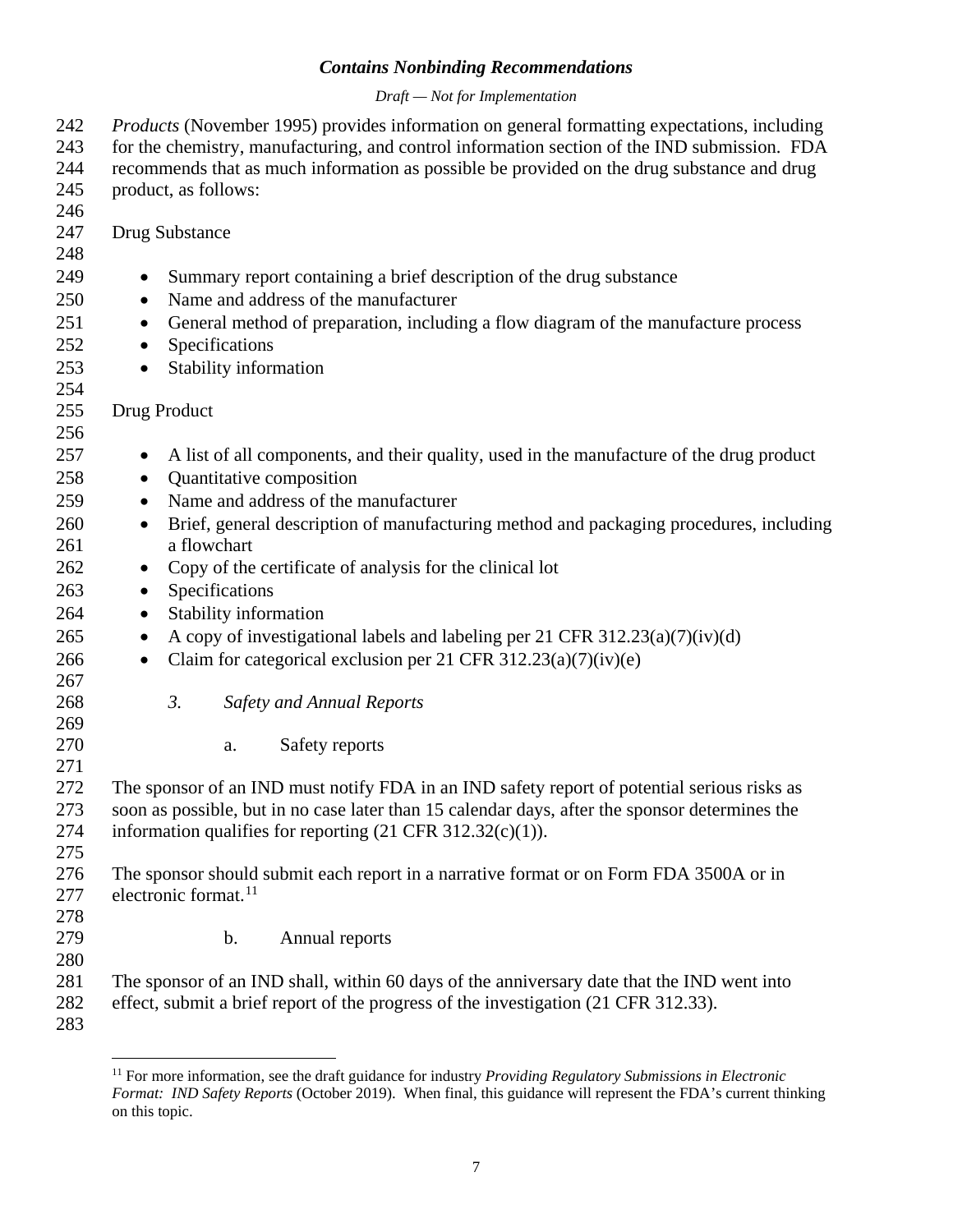### *Draft — Not for Implementation*

| 242<br>243 | Products (November 1995) provides information on general formatting expectations, including<br>for the chemistry, manufacturing, and control information section of the IND submission. FDA |
|------------|---------------------------------------------------------------------------------------------------------------------------------------------------------------------------------------------|
| 244        | recommends that as much information as possible be provided on the drug substance and drug                                                                                                  |
| 245        | product, as follows:                                                                                                                                                                        |
| 246        |                                                                                                                                                                                             |
| 247<br>248 | Drug Substance                                                                                                                                                                              |
|            |                                                                                                                                                                                             |
| 249        | Summary report containing a brief description of the drug substance<br>$\bullet$<br>Name and address of the manufacturer                                                                    |
| 250        | $\bullet$                                                                                                                                                                                   |
| 251        | General method of preparation, including a flow diagram of the manufacture process<br>$\bullet$                                                                                             |
| 252        | Specifications<br>$\bullet$                                                                                                                                                                 |
| 253        | Stability information<br>$\bullet$                                                                                                                                                          |
| 254<br>255 |                                                                                                                                                                                             |
| 256        | Drug Product                                                                                                                                                                                |
| 257        | A list of all components, and their quality, used in the manufacture of the drug product                                                                                                    |
| 258        | $\bullet$<br>Quantitative composition<br>$\bullet$                                                                                                                                          |
| 259        | Name and address of the manufacturer<br>$\bullet$                                                                                                                                           |
| 260        | Brief, general description of manufacturing method and packaging procedures, including<br>$\bullet$                                                                                         |
| 261        | a flowchart                                                                                                                                                                                 |
| 262        | Copy of the certificate of analysis for the clinical lot<br>$\bullet$                                                                                                                       |
| 263        | Specifications<br>$\bullet$                                                                                                                                                                 |
| 264        | Stability information<br>$\bullet$                                                                                                                                                          |
| 265        | A copy of investigational labels and labeling per 21 CFR 312.23(a)(7)(iv)(d)<br>$\bullet$                                                                                                   |
| 266        | Claim for categorical exclusion per 21 CFR 312.23(a)(7)(iv)(e)<br>$\bullet$                                                                                                                 |
| 267        |                                                                                                                                                                                             |
| 268        | 3.<br><b>Safety and Annual Reports</b>                                                                                                                                                      |
| 269        |                                                                                                                                                                                             |
| 270        | Safety reports<br>a.                                                                                                                                                                        |
| 271        |                                                                                                                                                                                             |
| 272        | The sponsor of an IND must notify FDA in an IND safety report of potential serious risks as                                                                                                 |
| 273        | soon as possible, but in no case later than 15 calendar days, after the sponsor determines the                                                                                              |
| 274        | information qualifies for reporting $(21 \text{ CFR } 312.32(c)(1)).$                                                                                                                       |
| 275        |                                                                                                                                                                                             |
| 276        | The sponsor should submit each report in a narrative format or on Form FDA 3500A or in                                                                                                      |
| 277        | electronic format. <sup>11</sup>                                                                                                                                                            |
| 278        |                                                                                                                                                                                             |
| 279        | b.<br>Annual reports                                                                                                                                                                        |
| 280        |                                                                                                                                                                                             |
| 281<br>282 | The sponsor of an IND shall, within 60 days of the anniversary date that the IND went into<br>effect, submit a brief report of the progress of the investigation (21 CFR 312.33).           |
| 283        |                                                                                                                                                                                             |
|            |                                                                                                                                                                                             |

<span id="page-9-0"></span><sup>&</sup>lt;sup>11</sup> For more information, see the draft guidance for industry *Providing Regulatory Submissions in Electronic Format: IND Safety Reports* (October 2019). When final, this guidance will represent the FDA's current thinking on this topic.